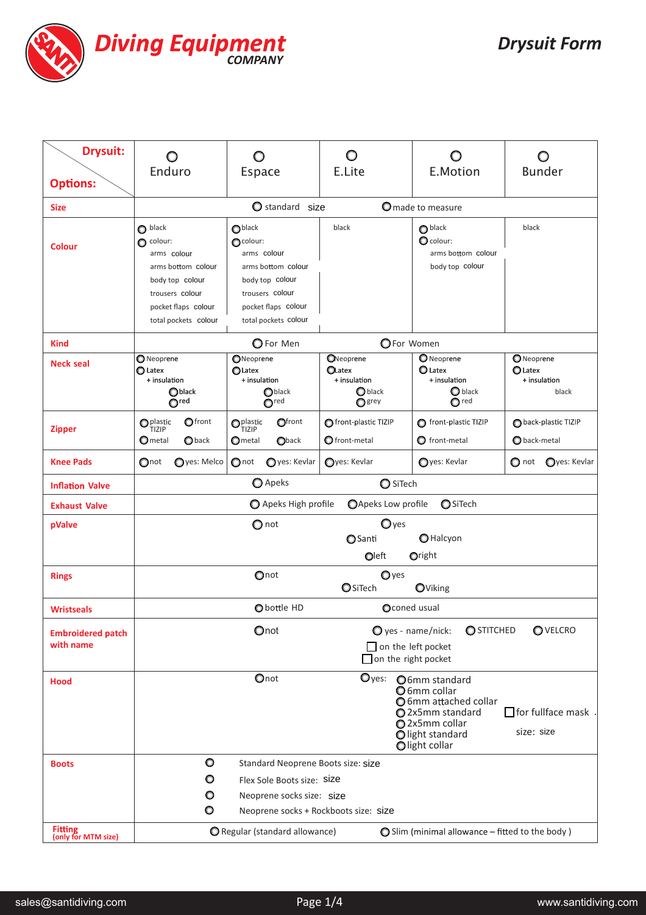

| <b>Drysuit:</b><br><b>Options:</b>    | O<br>Enduro                                                                                                                                                                                           |                         | $\circ$<br><b>Espace</b>                                                                                                                                 |                 | $\circ$<br>E.Lite                                                        | O<br>E.Motion                                                                    | O<br><b>Bunder</b>                                     |
|---------------------------------------|-------------------------------------------------------------------------------------------------------------------------------------------------------------------------------------------------------|-------------------------|----------------------------------------------------------------------------------------------------------------------------------------------------------|-----------------|--------------------------------------------------------------------------|----------------------------------------------------------------------------------|--------------------------------------------------------|
| <b>Size</b>                           |                                                                                                                                                                                                       |                         | Standard size<br>O made to measure                                                                                                                       |                 |                                                                          |                                                                                  |                                                        |
| <b>Colour</b>                         | $\bullet$ black<br>$\bullet$ colour:<br>arms colour<br>arms bottom colour<br>body top colour<br>trousers colour<br>pocket flaps colour<br>total pockets colour                                        |                         | O <sub>black</sub><br>Ocolour:<br>arms colour<br>arms bottom colour<br>body top colour<br>trousers colour<br>pocket flaps colour<br>total pockets colour |                 | black                                                                    | $\bigcirc$ black<br>O colour:<br>arms bottom colour<br>body top colour           | black                                                  |
| <b>Kind</b>                           | OFor Women<br>O For Men                                                                                                                                                                               |                         |                                                                                                                                                          |                 |                                                                          |                                                                                  |                                                        |
| <b>Neck seal</b>                      | <b>O</b> Neoprene<br><b>O</b> Latex<br>+ insulation<br>$\bigcirc$ black<br>O <sub>red</sub>                                                                                                           |                         | ONeoprene<br><b>O</b> Latex<br>+ insulation<br>$\bigcirc$ black<br>O <sub>red</sub>                                                                      |                 | ONeoprene<br><b>OLatex</b><br>+ insulation<br>$\bigcirc$ black<br>O grey | <b>O</b> Neoprene<br><b>O</b> Latex<br>+ insulation<br>O black<br>$\bigcirc$ red | ONeoprene<br>$\bigcirc$ Latex<br>+ insulation<br>black |
| <b>Zipper</b>                         | $\mathbf{O}_{\text{TIZIP}}^{\text{plastic}}$<br>$\mathbf $ Ometal                                                                                                                                     | Ofront<br><b>O</b> back | $\mathbf{O}_{\text{TIZIP}}^{\text{plastic}}$<br>$\mathbf{\mathsf{O}}$ metal                                                                              | Ofront<br>Oback | front-plastic TIZIP<br>O front-metal                                     | front-plastic TIZIP<br>$\bullet$ front-metal                                     | back-plastic TIZIP<br>O back-metal                     |
| <b>Knee Pads</b>                      | $\bigcirc$ not                                                                                                                                                                                        | Oyes: Melco             | $\bigcirc$ not                                                                                                                                           | Oyes: Kevlar    | Oyes: Kevlar                                                             | Oyes: Kevlar                                                                     | O not Oyes: Kevlar                                     |
| <b>Inflation Valve</b>                | O Apeks<br>O SiTech                                                                                                                                                                                   |                         |                                                                                                                                                          |                 |                                                                          |                                                                                  |                                                        |
| <b>Exhaust Valve</b>                  | <b>OApeks Low profile</b><br><b>O</b> SiTech<br>Apeks High profile                                                                                                                                    |                         |                                                                                                                                                          |                 |                                                                          |                                                                                  |                                                        |
| pValve                                | $\mathbf{O}$ yes<br>$\bigcirc$ not<br>O Halcyon<br><b>O</b> Santi<br>Oleft<br>Oright                                                                                                                  |                         |                                                                                                                                                          |                 |                                                                          |                                                                                  |                                                        |
| <b>Rings</b>                          | Onot<br>$Q$ yes<br><b>O</b> SiTech<br>OViking                                                                                                                                                         |                         |                                                                                                                                                          |                 |                                                                          |                                                                                  |                                                        |
| <b>Wristseals</b>                     | Oconed usual<br>O bottle HD                                                                                                                                                                           |                         |                                                                                                                                                          |                 |                                                                          |                                                                                  |                                                        |
| <b>Embroidered patch</b><br>with name | Onot<br>$\bullet$ yes - name/nick:<br><b>O</b> STITCHED<br>OVELCRO<br>$\Box$ on the left pocket<br>$\Box$ on the right pocket                                                                         |                         |                                                                                                                                                          |                 |                                                                          |                                                                                  |                                                        |
| <b>Hood</b>                           | Onot<br>$\mathbf{O}$ yes:<br>O6mm standard<br>O 6mm collar<br>O 6mm attached collar<br>$\Box$ for fullface mask<br>2x5mm standard<br>O 2x5mm collar<br>size: size<br>Olight standard<br>Olight collar |                         |                                                                                                                                                          |                 |                                                                          |                                                                                  |                                                        |
| <b>Boots</b>                          | $\circ$<br>Standard Neoprene Boots size: size                                                                                                                                                         |                         |                                                                                                                                                          |                 |                                                                          |                                                                                  |                                                        |
|                                       | O<br>Flex Sole Boots size: Size                                                                                                                                                                       |                         |                                                                                                                                                          |                 |                                                                          |                                                                                  |                                                        |
|                                       | O<br>Neoprene socks size: size<br>O<br>Neoprene socks + Rockboots size: size                                                                                                                          |                         |                                                                                                                                                          |                 |                                                                          |                                                                                  |                                                        |
| <b>Fitting</b><br>(only for MTM size) | O Regular (standard allowance)                                                                                                                                                                        |                         |                                                                                                                                                          |                 | $\bigcirc$ Slim (minimal allowance - fitted to the body)                 |                                                                                  |                                                        |
|                                       |                                                                                                                                                                                                       |                         |                                                                                                                                                          |                 |                                                                          |                                                                                  |                                                        |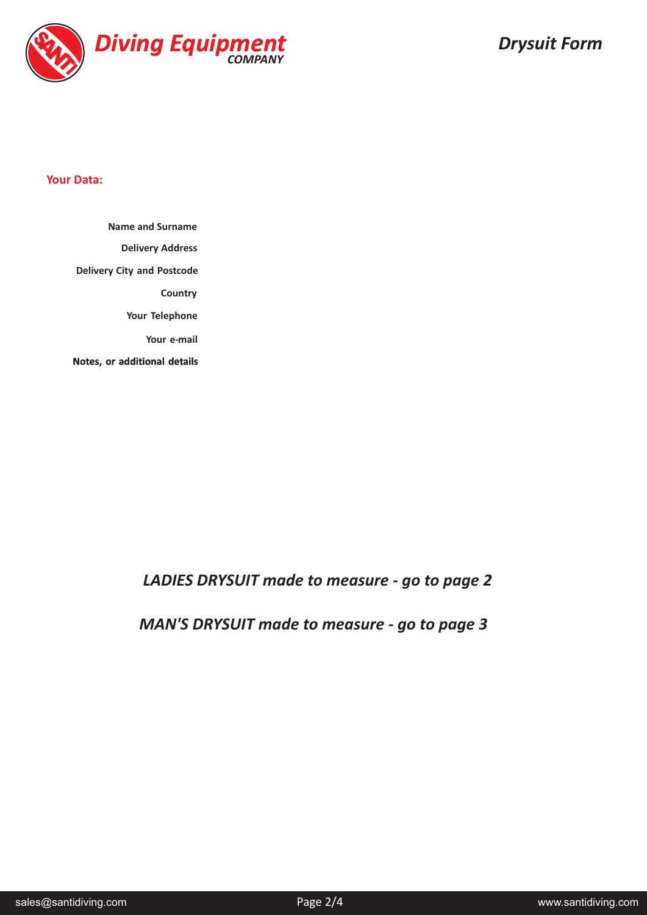

## **Your Data:**

**Delivery Address Delivery City and Postcode Country Your Telephone Your e-mail Notes, or additional details Name and Surname**

*LADIES DRYSUIT made to measure - go to page 2*

*MAN'S DRYSUIT made to measure - go to page 3*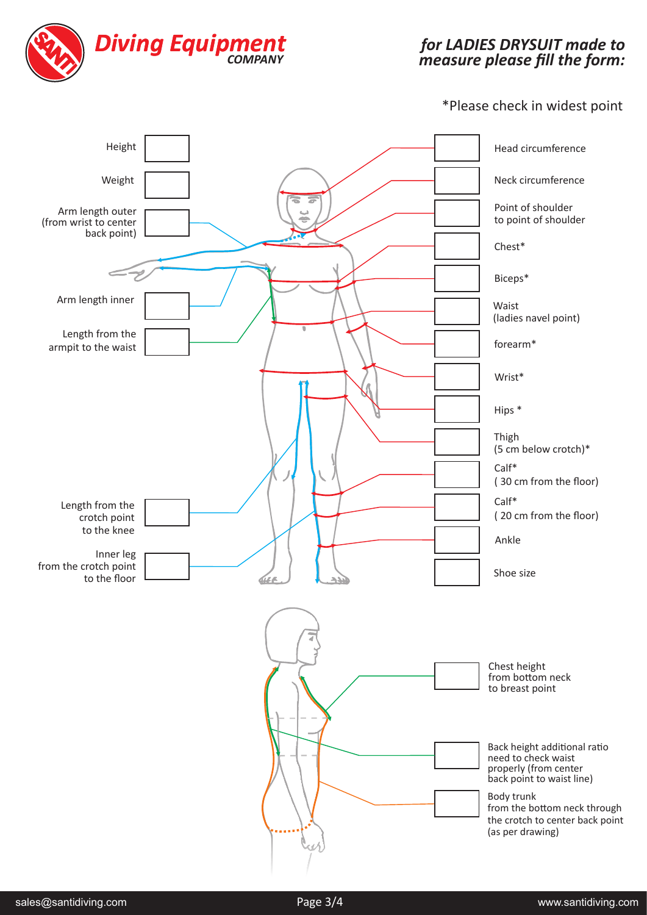

## for LADIES DRYSUIT made to *measure please fill the form: DRYSUIT*

## \*Please check in widest point